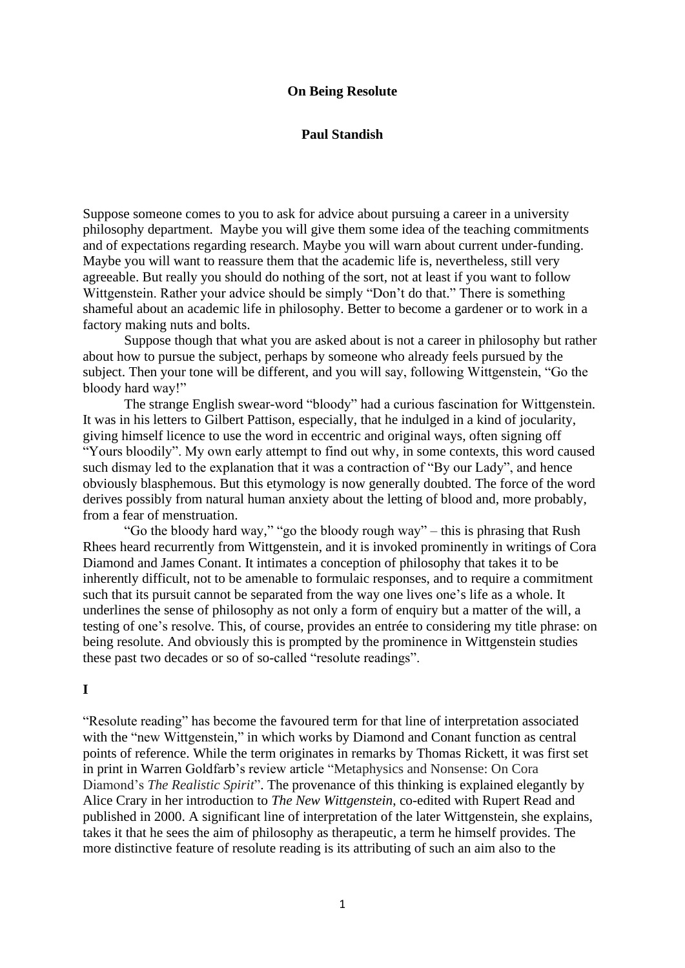### **On Being Resolute**

### **Paul Standish**

Suppose someone comes to you to ask for advice about pursuing a career in a university philosophy department. Maybe you will give them some idea of the teaching commitments and of expectations regarding research. Maybe you will warn about current under-funding. Maybe you will want to reassure them that the academic life is, nevertheless, still very agreeable. But really you should do nothing of the sort, not at least if you want to follow Wittgenstein. Rather your advice should be simply "Don't do that." There is something shameful about an academic life in philosophy. Better to become a gardener or to work in a factory making nuts and bolts.

Suppose though that what you are asked about is not a career in philosophy but rather about how to pursue the subject, perhaps by someone who already feels pursued by the subject. Then your tone will be different, and you will say, following Wittgenstein, "Go the bloody hard way!"

The strange English swear-word "bloody" had a curious fascination for Wittgenstein. It was in his letters to Gilbert Pattison, especially, that he indulged in a kind of jocularity, giving himself licence to use the word in eccentric and original ways, often signing off "Yours bloodily". My own early attempt to find out why, in some contexts, this word caused such dismay led to the explanation that it was a contraction of "By our Lady", and hence obviously blasphemous. But this etymology is now generally doubted. The force of the word derives possibly from natural human anxiety about the letting of blood and, more probably, from a fear of menstruation.

"Go the bloody hard way," "go the bloody rough way" – this is phrasing that Rush Rhees heard recurrently from Wittgenstein, and it is invoked prominently in writings of Cora Diamond and James Conant. It intimates a conception of philosophy that takes it to be inherently difficult, not to be amenable to formulaic responses, and to require a commitment such that its pursuit cannot be separated from the way one lives one's life as a whole. It underlines the sense of philosophy as not only a form of enquiry but a matter of the will, a testing of one's resolve. This, of course, provides an entrée to considering my title phrase: on being resolute. And obviously this is prompted by the prominence in Wittgenstein studies these past two decades or so of so-called "resolute readings".

### **I**

"Resolute reading" has become the favoured term for that line of interpretation associated with the "new Wittgenstein," in which works by Diamond and Conant function as central points of reference. While the term originates in remarks by Thomas Rickett, it was first set in print in Warren Goldfarb's review article "Metaphysics and Nonsense: On Cora Diamond's *The Realistic Spirit*". The provenance of this thinking is explained elegantly by Alice Crary in her introduction to *The New Wittgenstein*, co-edited with Rupert Read and published in 2000. A significant line of interpretation of the later Wittgenstein, she explains, takes it that he sees the aim of philosophy as therapeutic, a term he himself provides. The more distinctive feature of resolute reading is its attributing of such an aim also to the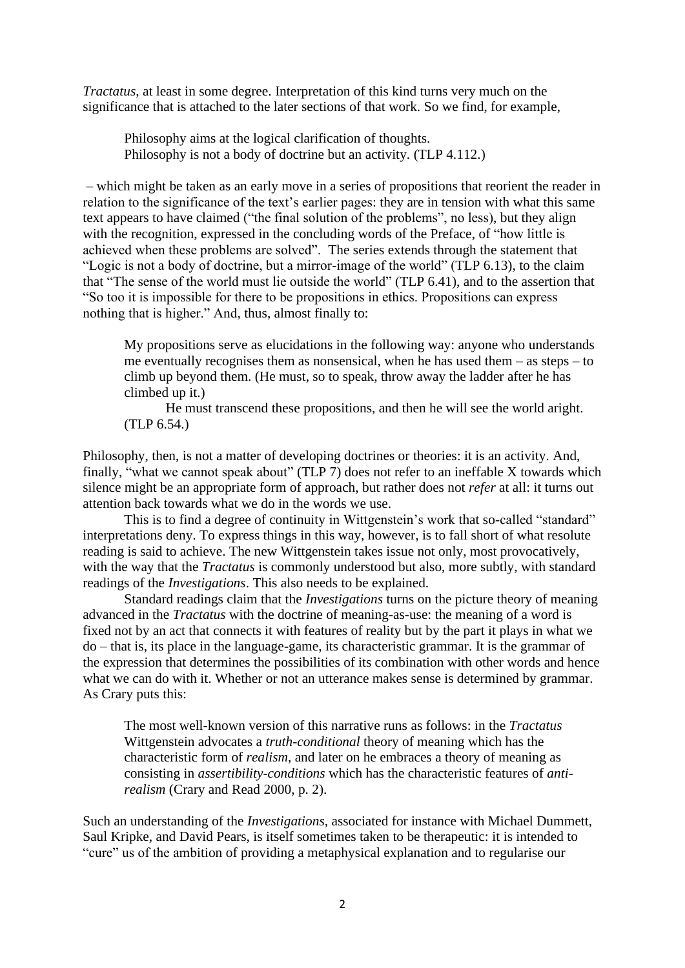*Tractatus*, at least in some degree. Interpretation of this kind turns very much on the significance that is attached to the later sections of that work. So we find, for example,

Philosophy aims at the logical clarification of thoughts. Philosophy is not a body of doctrine but an activity. (TLP 4.112.)

– which might be taken as an early move in a series of propositions that reorient the reader in relation to the significance of the text's earlier pages: they are in tension with what this same text appears to have claimed ("the final solution of the problems", no less), but they align with the recognition, expressed in the concluding words of the Preface, of "how little is achieved when these problems are solved". The series extends through the statement that "Logic is not a body of doctrine, but a mirror-image of the world" (TLP 6.13), to the claim that "The sense of the world must lie outside the world" (TLP 6.41), and to the assertion that "So too it is impossible for there to be propositions in ethics. Propositions can express nothing that is higher." And, thus, almost finally to:

My propositions serve as elucidations in the following way: anyone who understands me eventually recognises them as nonsensical, when he has used them – as steps – to climb up beyond them. (He must, so to speak, throw away the ladder after he has climbed up it.)

He must transcend these propositions, and then he will see the world aright. (TLP 6.54.)

Philosophy, then, is not a matter of developing doctrines or theories: it is an activity. And, finally, "what we cannot speak about" (TLP 7) does not refer to an ineffable X towards which silence might be an appropriate form of approach, but rather does not *refer* at all: it turns out attention back towards what we do in the words we use.

This is to find a degree of continuity in Wittgenstein's work that so-called "standard" interpretations deny. To express things in this way, however, is to fall short of what resolute reading is said to achieve. The new Wittgenstein takes issue not only, most provocatively, with the way that the *Tractatus* is commonly understood but also, more subtly, with standard readings of the *Investigations*. This also needs to be explained.

Standard readings claim that the *Investigations* turns on the picture theory of meaning advanced in the *Tractatus* with the doctrine of meaning-as-use: the meaning of a word is fixed not by an act that connects it with features of reality but by the part it plays in what we do – that is, its place in the language-game, its characteristic grammar. It is the grammar of the expression that determines the possibilities of its combination with other words and hence what we can do with it. Whether or not an utterance makes sense is determined by grammar. As Crary puts this:

The most well-known version of this narrative runs as follows: in the *Tractatus* Wittgenstein advocates a *truth-conditional* theory of meaning which has the characteristic form of *realism*, and later on he embraces a theory of meaning as consisting in *assertibility-conditions* which has the characteristic features of *antirealism* (Crary and Read 2000, p. 2).

Such an understanding of the *Investigations*, associated for instance with Michael Dummett, Saul Kripke, and David Pears, is itself sometimes taken to be therapeutic: it is intended to "cure" us of the ambition of providing a metaphysical explanation and to regularise our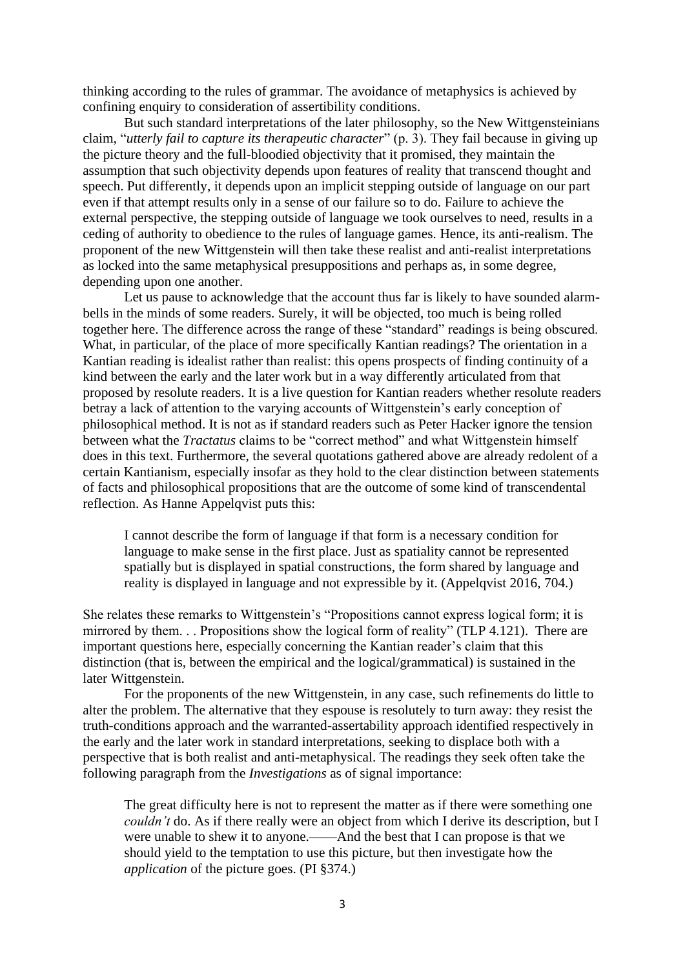thinking according to the rules of grammar. The avoidance of metaphysics is achieved by confining enquiry to consideration of assertibility conditions.

But such standard interpretations of the later philosophy, so the New Wittgensteinians claim, "*utterly fail to capture its therapeutic character*" (p. 3). They fail because in giving up the picture theory and the full-bloodied objectivity that it promised, they maintain the assumption that such objectivity depends upon features of reality that transcend thought and speech. Put differently, it depends upon an implicit stepping outside of language on our part even if that attempt results only in a sense of our failure so to do. Failure to achieve the external perspective, the stepping outside of language we took ourselves to need, results in a ceding of authority to obedience to the rules of language games. Hence, its anti-realism. The proponent of the new Wittgenstein will then take these realist and anti-realist interpretations as locked into the same metaphysical presuppositions and perhaps as, in some degree, depending upon one another.

Let us pause to acknowledge that the account thus far is likely to have sounded alarmbells in the minds of some readers. Surely, it will be objected, too much is being rolled together here. The difference across the range of these "standard" readings is being obscured. What, in particular, of the place of more specifically Kantian readings? The orientation in a Kantian reading is idealist rather than realist: this opens prospects of finding continuity of a kind between the early and the later work but in a way differently articulated from that proposed by resolute readers. It is a live question for Kantian readers whether resolute readers betray a lack of attention to the varying accounts of Wittgenstein's early conception of philosophical method. It is not as if standard readers such as Peter Hacker ignore the tension between what the *Tractatus* claims to be "correct method" and what Wittgenstein himself does in this text. Furthermore, the several quotations gathered above are already redolent of a certain Kantianism, especially insofar as they hold to the clear distinction between statements of facts and philosophical propositions that are the outcome of some kind of transcendental reflection. As Hanne Appelqvist puts this:

I cannot describe the form of language if that form is a necessary condition for language to make sense in the first place. Just as spatiality cannot be represented spatially but is displayed in spatial constructions, the form shared by language and reality is displayed in language and not expressible by it. (Appelqvist 2016, 704.)

She relates these remarks to Wittgenstein's "Propositions cannot express logical form; it is mirrored by them. . . Propositions show the logical form of reality" (TLP 4.121). There are important questions here, especially concerning the Kantian reader's claim that this distinction (that is, between the empirical and the logical/grammatical) is sustained in the later Wittgenstein.

For the proponents of the new Wittgenstein, in any case, such refinements do little to alter the problem. The alternative that they espouse is resolutely to turn away: they resist the truth-conditions approach and the warranted-assertability approach identified respectively in the early and the later work in standard interpretations, seeking to displace both with a perspective that is both realist and anti-metaphysical. The readings they seek often take the following paragraph from the *Investigations* as of signal importance:

The great difficulty here is not to represent the matter as if there were something one *couldn't* do. As if there really were an object from which I derive its description, but I were unable to shew it to anyone.——And the best that I can propose is that we should yield to the temptation to use this picture, but then investigate how the *application* of the picture goes. (PI §374.)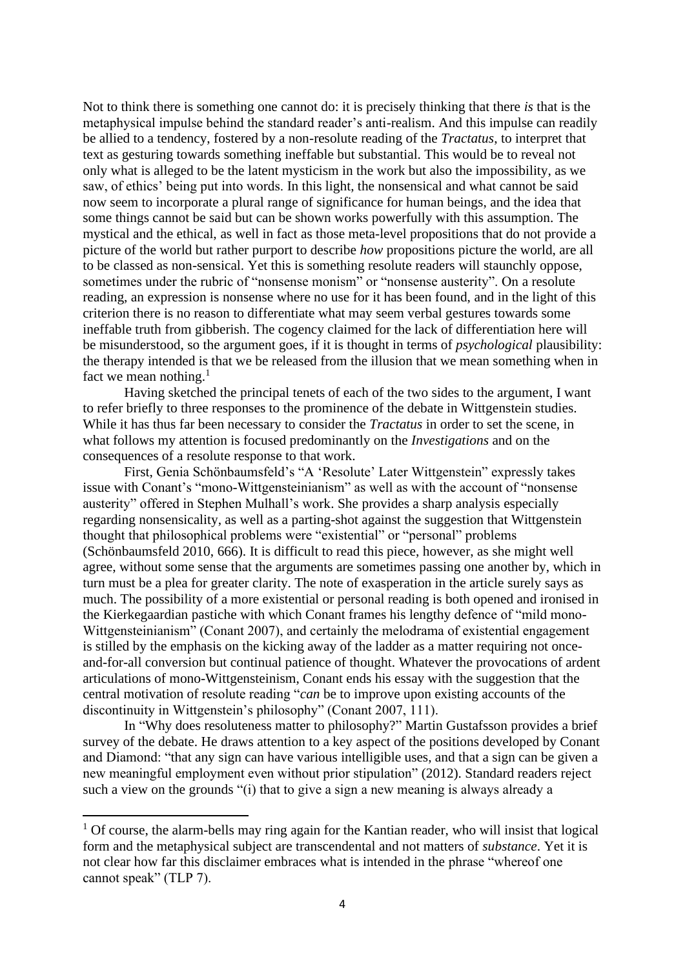Not to think there is something one cannot do: it is precisely thinking that there *is* that is the metaphysical impulse behind the standard reader's anti-realism. And this impulse can readily be allied to a tendency, fostered by a non-resolute reading of the *Tractatus*, to interpret that text as gesturing towards something ineffable but substantial. This would be to reveal not only what is alleged to be the latent mysticism in the work but also the impossibility, as we saw, of ethics' being put into words. In this light, the nonsensical and what cannot be said now seem to incorporate a plural range of significance for human beings, and the idea that some things cannot be said but can be shown works powerfully with this assumption. The mystical and the ethical, as well in fact as those meta-level propositions that do not provide a picture of the world but rather purport to describe *how* propositions picture the world, are all to be classed as non-sensical. Yet this is something resolute readers will staunchly oppose, sometimes under the rubric of "nonsense monism" or "nonsense austerity". On a resolute reading, an expression is nonsense where no use for it has been found, and in the light of this criterion there is no reason to differentiate what may seem verbal gestures towards some ineffable truth from gibberish. The cogency claimed for the lack of differentiation here will be misunderstood, so the argument goes, if it is thought in terms of *psychological* plausibility: the therapy intended is that we be released from the illusion that we mean something when in fact we mean nothing. $<sup>1</sup>$ </sup>

Having sketched the principal tenets of each of the two sides to the argument, I want to refer briefly to three responses to the prominence of the debate in Wittgenstein studies. While it has thus far been necessary to consider the *Tractatus* in order to set the scene, in what follows my attention is focused predominantly on the *Investigations* and on the consequences of a resolute response to that work.

First, Genia Schönbaumsfeld's "A 'Resolute' Later Wittgenstein" expressly takes issue with Conant's "mono-Wittgensteinianism" as well as with the account of "nonsense austerity" offered in Stephen Mulhall's work. She provides a sharp analysis especially regarding nonsensicality, as well as a parting-shot against the suggestion that Wittgenstein thought that philosophical problems were "existential" or "personal" problems (Schönbaumsfeld 2010, 666). It is difficult to read this piece, however, as she might well agree, without some sense that the arguments are sometimes passing one another by, which in turn must be a plea for greater clarity. The note of exasperation in the article surely says as much. The possibility of a more existential or personal reading is both opened and ironised in the Kierkegaardian pastiche with which Conant frames his lengthy defence of "mild mono-Wittgensteinianism" (Conant 2007), and certainly the melodrama of existential engagement is stilled by the emphasis on the kicking away of the ladder as a matter requiring not onceand-for-all conversion but continual patience of thought. Whatever the provocations of ardent articulations of mono-Wittgensteinism, Conant ends his essay with the suggestion that the central motivation of resolute reading "*can* be to improve upon existing accounts of the discontinuity in Wittgenstein's philosophy" (Conant 2007, 111).

In "Why does resoluteness matter to philosophy?" Martin Gustafsson provides a brief survey of the debate. He draws attention to a key aspect of the positions developed by Conant and Diamond: "that any sign can have various intelligible uses, and that a sign can be given a new meaningful employment even without prior stipulation" (2012). Standard readers reject such a view on the grounds "(i) that to give a sign a new meaning is always already a

 $1$  Of course, the alarm-bells may ring again for the Kantian reader, who will insist that logical form and the metaphysical subject are transcendental and not matters of *substance*. Yet it is not clear how far this disclaimer embraces what is intended in the phrase "whereof one cannot speak" (TLP 7).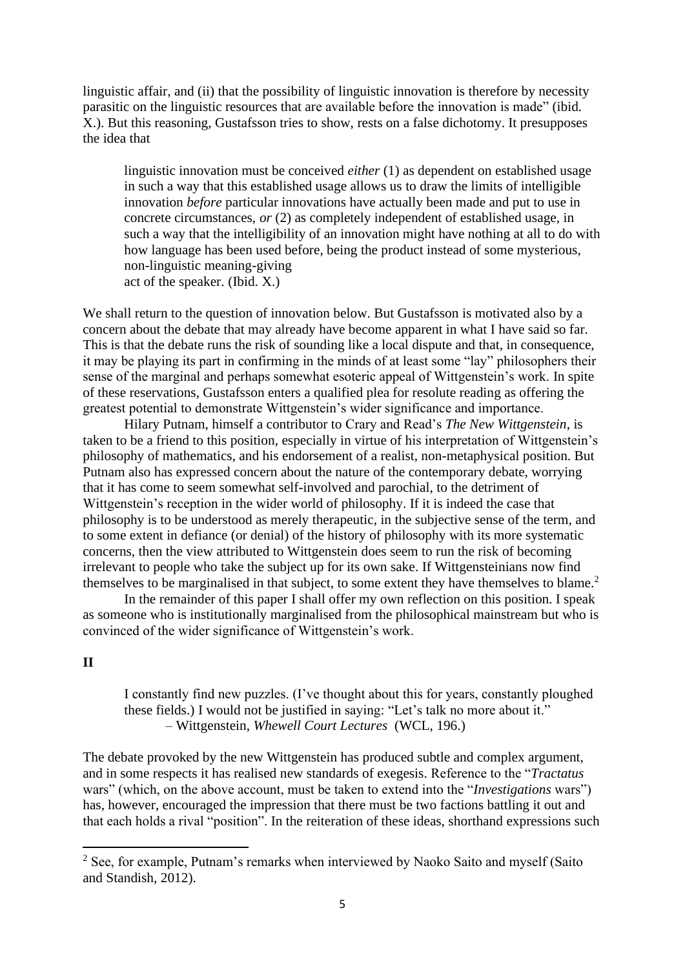linguistic affair, and (ii) that the possibility of linguistic innovation is therefore by necessity parasitic on the linguistic resources that are available before the innovation is made" (ibid. X.). But this reasoning, Gustafsson tries to show, rests on a false dichotomy. It presupposes the idea that

linguistic innovation must be conceived *either* (1) as dependent on established usage in such a way that this established usage allows us to draw the limits of intelligible innovation *before* particular innovations have actually been made and put to use in concrete circumstances, *or* (2) as completely independent of established usage, in such a way that the intelligibility of an innovation might have nothing at all to do with how language has been used before, being the product instead of some mysterious, non-linguistic meaning-giving act of the speaker. (Ibid. X.)

We shall return to the question of innovation below. But Gustafsson is motivated also by a concern about the debate that may already have become apparent in what I have said so far. This is that the debate runs the risk of sounding like a local dispute and that, in consequence, it may be playing its part in confirming in the minds of at least some "lay" philosophers their sense of the marginal and perhaps somewhat esoteric appeal of Wittgenstein's work. In spite of these reservations, Gustafsson enters a qualified plea for resolute reading as offering the greatest potential to demonstrate Wittgenstein's wider significance and importance.

Hilary Putnam, himself a contributor to Crary and Read's *The New Wittgenstein*, is taken to be a friend to this position, especially in virtue of his interpretation of Wittgenstein's philosophy of mathematics, and his endorsement of a realist, non-metaphysical position. But Putnam also has expressed concern about the nature of the contemporary debate, worrying that it has come to seem somewhat self-involved and parochial, to the detriment of Wittgenstein's reception in the wider world of philosophy. If it is indeed the case that philosophy is to be understood as merely therapeutic, in the subjective sense of the term, and to some extent in defiance (or denial) of the history of philosophy with its more systematic concerns, then the view attributed to Wittgenstein does seem to run the risk of becoming irrelevant to people who take the subject up for its own sake. If Wittgensteinians now find themselves to be marginalised in that subject, to some extent they have themselves to blame.<sup>2</sup>

In the remainder of this paper I shall offer my own reflection on this position. I speak as someone who is institutionally marginalised from the philosophical mainstream but who is convinced of the wider significance of Wittgenstein's work.

## **II**

I constantly find new puzzles. (I've thought about this for years, constantly ploughed these fields.) I would not be justified in saying: "Let's talk no more about it." – Wittgenstein, *Whewell Court Lectures* (WCL, 196.)

The debate provoked by the new Wittgenstein has produced subtle and complex argument, and in some respects it has realised new standards of exegesis. Reference to the "*Tractatus* wars" (which, on the above account, must be taken to extend into the "*Investigations* wars") has, however, encouraged the impression that there must be two factions battling it out and that each holds a rival "position". In the reiteration of these ideas, shorthand expressions such

<sup>&</sup>lt;sup>2</sup> See, for example, Putnam's remarks when interviewed by Naoko Saito and myself (Saito and Standish, 2012).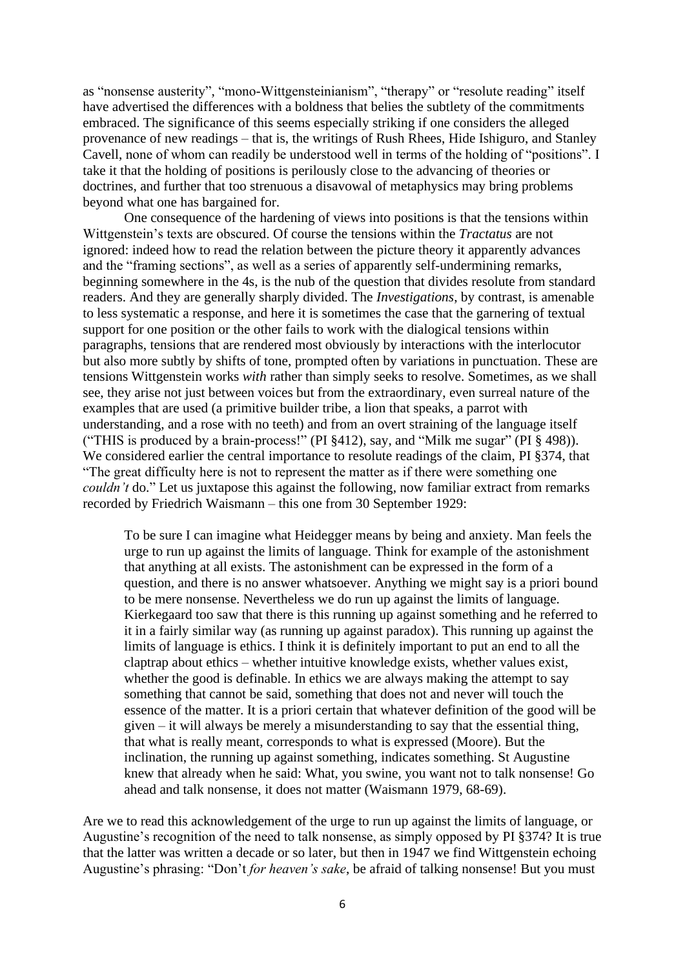as "nonsense austerity", "mono-Wittgensteinianism", "therapy" or "resolute reading" itself have advertised the differences with a boldness that belies the subtlety of the commitments embraced. The significance of this seems especially striking if one considers the alleged provenance of new readings – that is, the writings of Rush Rhees, Hide Ishiguro, and Stanley Cavell, none of whom can readily be understood well in terms of the holding of "positions". I take it that the holding of positions is perilously close to the advancing of theories or doctrines, and further that too strenuous a disavowal of metaphysics may bring problems beyond what one has bargained for.

One consequence of the hardening of views into positions is that the tensions within Wittgenstein's texts are obscured. Of course the tensions within the *Tractatus* are not ignored: indeed how to read the relation between the picture theory it apparently advances and the "framing sections", as well as a series of apparently self-undermining remarks, beginning somewhere in the 4s, is the nub of the question that divides resolute from standard readers. And they are generally sharply divided. The *Investigations*, by contrast, is amenable to less systematic a response, and here it is sometimes the case that the garnering of textual support for one position or the other fails to work with the dialogical tensions within paragraphs, tensions that are rendered most obviously by interactions with the interlocutor but also more subtly by shifts of tone, prompted often by variations in punctuation. These are tensions Wittgenstein works *with* rather than simply seeks to resolve. Sometimes, as we shall see, they arise not just between voices but from the extraordinary, even surreal nature of the examples that are used (a primitive builder tribe, a lion that speaks, a parrot with understanding, and a rose with no teeth) and from an overt straining of the language itself ("THIS is produced by a brain-process!" (PI §412), say, and "Milk me sugar" (PI § 498)). We considered earlier the central importance to resolute readings of the claim, PI §374, that "The great difficulty here is not to represent the matter as if there were something one *couldn't* do." Let us juxtapose this against the following, now familiar extract from remarks recorded by Friedrich Waismann – this one from 30 September 1929:

To be sure I can imagine what Heidegger means by being and anxiety. Man feels the urge to run up against the limits of language. Think for example of the astonishment that anything at all exists. The astonishment can be expressed in the form of a question, and there is no answer whatsoever. Anything we might say is a priori bound to be mere nonsense. Nevertheless we do run up against the limits of language. Kierkegaard too saw that there is this running up against something and he referred to it in a fairly similar way (as running up against paradox). This running up against the limits of language is ethics. I think it is definitely important to put an end to all the claptrap about ethics – whether intuitive knowledge exists, whether values exist, whether the good is definable. In ethics we are always making the attempt to say something that cannot be said, something that does not and never will touch the essence of the matter. It is a priori certain that whatever definition of the good will be given – it will always be merely a misunderstanding to say that the essential thing, that what is really meant, corresponds to what is expressed (Moore). But the inclination, the running up against something, indicates something. St Augustine knew that already when he said: What, you swine, you want not to talk nonsense! Go ahead and talk nonsense, it does not matter (Waismann 1979, 68-69).

Are we to read this acknowledgement of the urge to run up against the limits of language, or Augustine's recognition of the need to talk nonsense, as simply opposed by PI §374? It is true that the latter was written a decade or so later, but then in 1947 we find Wittgenstein echoing Augustine's phrasing: "Don't *for heaven's sake*, be afraid of talking nonsense! But you must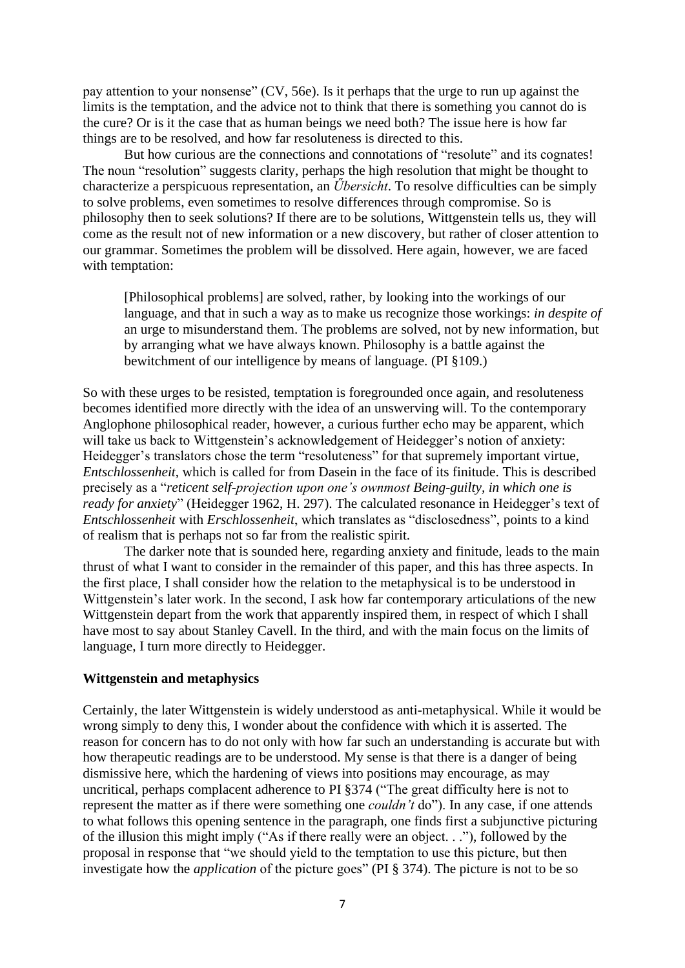pay attention to your nonsense" (CV, 56e). Is it perhaps that the urge to run up against the limits is the temptation, and the advice not to think that there is something you cannot do is the cure? Or is it the case that as human beings we need both? The issue here is how far things are to be resolved, and how far resoluteness is directed to this.

But how curious are the connections and connotations of "resolute" and its cognates! The noun "resolution" suggests clarity, perhaps the high resolution that might be thought to characterize a perspicuous representation, an *Űbersicht*. To resolve difficulties can be simply to solve problems, even sometimes to resolve differences through compromise. So is philosophy then to seek solutions? If there are to be solutions, Wittgenstein tells us, they will come as the result not of new information or a new discovery, but rather of closer attention to our grammar. Sometimes the problem will be dissolved. Here again, however, we are faced with temptation:

[Philosophical problems] are solved, rather, by looking into the workings of our language, and that in such a way as to make us recognize those workings: *in despite of* an urge to misunderstand them. The problems are solved, not by new information, but by arranging what we have always known. Philosophy is a battle against the bewitchment of our intelligence by means of language. (PI §109.)

So with these urges to be resisted, temptation is foregrounded once again, and resoluteness becomes identified more directly with the idea of an unswerving will. To the contemporary Anglophone philosophical reader, however, a curious further echo may be apparent, which will take us back to Wittgenstein's acknowledgement of Heidegger's notion of anxiety: Heidegger's translators chose the term "resoluteness" for that supremely important virtue, *Entschlossenheit*, which is called for from Dasein in the face of its finitude. This is described precisely as a "*reticent self-projection upon one's ownmost Being-guilty, in which one is ready for anxiety*" (Heidegger 1962, H. 297). The calculated resonance in Heidegger's text of *Entschlossenheit* with *Erschlossenheit*, which translates as "disclosedness", points to a kind of realism that is perhaps not so far from the realistic spirit.

The darker note that is sounded here, regarding anxiety and finitude, leads to the main thrust of what I want to consider in the remainder of this paper, and this has three aspects. In the first place, I shall consider how the relation to the metaphysical is to be understood in Wittgenstein's later work. In the second, I ask how far contemporary articulations of the new Wittgenstein depart from the work that apparently inspired them, in respect of which I shall have most to say about Stanley Cavell. In the third, and with the main focus on the limits of language, I turn more directly to Heidegger.

#### **Wittgenstein and metaphysics**

Certainly, the later Wittgenstein is widely understood as anti-metaphysical. While it would be wrong simply to deny this, I wonder about the confidence with which it is asserted. The reason for concern has to do not only with how far such an understanding is accurate but with how therapeutic readings are to be understood. My sense is that there is a danger of being dismissive here, which the hardening of views into positions may encourage, as may uncritical, perhaps complacent adherence to PI §374 ("The great difficulty here is not to represent the matter as if there were something one *couldn't* do"). In any case, if one attends to what follows this opening sentence in the paragraph, one finds first a subjunctive picturing of the illusion this might imply ("As if there really were an object. . ."), followed by the proposal in response that "we should yield to the temptation to use this picture, but then investigate how the *application* of the picture goes" (PI § 374). The picture is not to be so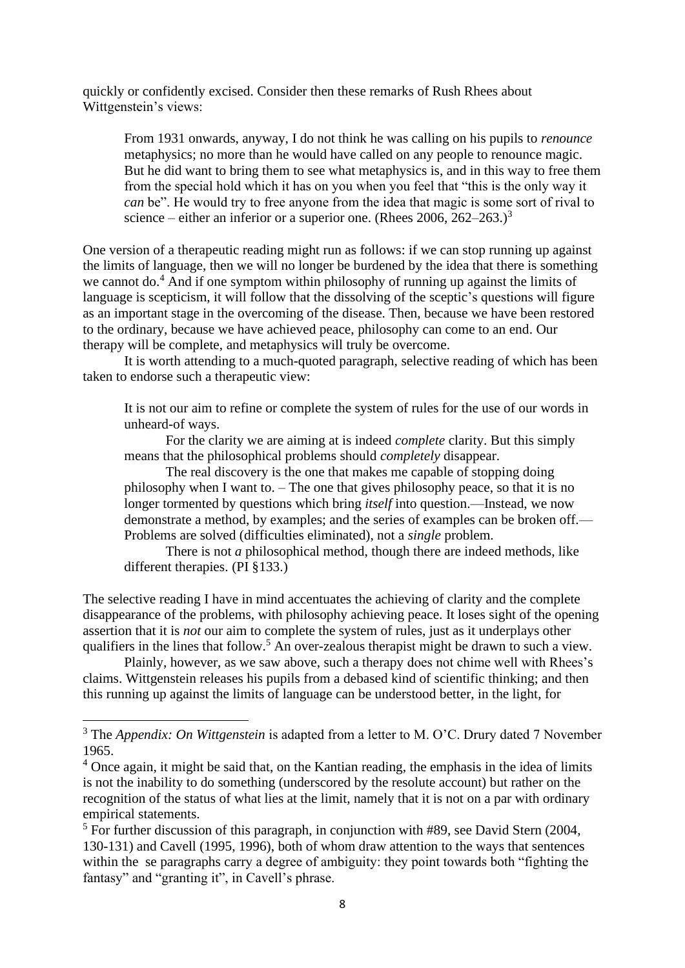quickly or confidently excised. Consider then these remarks of Rush Rhees about Wittgenstein's views:

From 1931 onwards, anyway, I do not think he was calling on his pupils to *renounce* metaphysics; no more than he would have called on any people to renounce magic. But he did want to bring them to see what metaphysics is, and in this way to free them from the special hold which it has on you when you feel that "this is the only way it *can* be". He would try to free anyone from the idea that magic is some sort of rival to science – either an inferior or a superior one. (Rhees 2006, 262–263.)<sup>3</sup>

One version of a therapeutic reading might run as follows: if we can stop running up against the limits of language, then we will no longer be burdened by the idea that there is something we cannot do.<sup>4</sup> And if one symptom within philosophy of running up against the limits of language is scepticism, it will follow that the dissolving of the sceptic's questions will figure as an important stage in the overcoming of the disease. Then, because we have been restored to the ordinary, because we have achieved peace, philosophy can come to an end. Our therapy will be complete, and metaphysics will truly be overcome.

It is worth attending to a much-quoted paragraph, selective reading of which has been taken to endorse such a therapeutic view:

It is not our aim to refine or complete the system of rules for the use of our words in unheard-of ways.

For the clarity we are aiming at is indeed *complete* clarity. But this simply means that the philosophical problems should *completely* disappear.

The real discovery is the one that makes me capable of stopping doing philosophy when I want to. – The one that gives philosophy peace, so that it is no longer tormented by questions which bring *itself* into question.—Instead, we now demonstrate a method, by examples; and the series of examples can be broken off.— Problems are solved (difficulties eliminated), not a *single* problem.

There is not *a* philosophical method, though there are indeed methods, like different therapies. (PI §133.)

The selective reading I have in mind accentuates the achieving of clarity and the complete disappearance of the problems, with philosophy achieving peace. It loses sight of the opening assertion that it is *not* our aim to complete the system of rules, just as it underplays other qualifiers in the lines that follow.<sup>5</sup> An over-zealous therapist might be drawn to such a view.

Plainly, however, as we saw above, such a therapy does not chime well with Rhees's claims. Wittgenstein releases his pupils from a debased kind of scientific thinking; and then this running up against the limits of language can be understood better, in the light, for

<sup>&</sup>lt;sup>3</sup> The *Appendix: On Wittgenstein* is adapted from a letter to M. O'C. Drury dated 7 November 1965.

 $4$  Once again, it might be said that, on the Kantian reading, the emphasis in the idea of limits is not the inability to do something (underscored by the resolute account) but rather on the recognition of the status of what lies at the limit, namely that it is not on a par with ordinary empirical statements.

<sup>&</sup>lt;sup>5</sup> For further discussion of this paragraph, in conjunction with #89, see David Stern (2004, 130-131) and Cavell (1995, 1996), both of whom draw attention to the ways that sentences within the se paragraphs carry a degree of ambiguity: they point towards both "fighting the fantasy" and "granting it", in Cavell's phrase.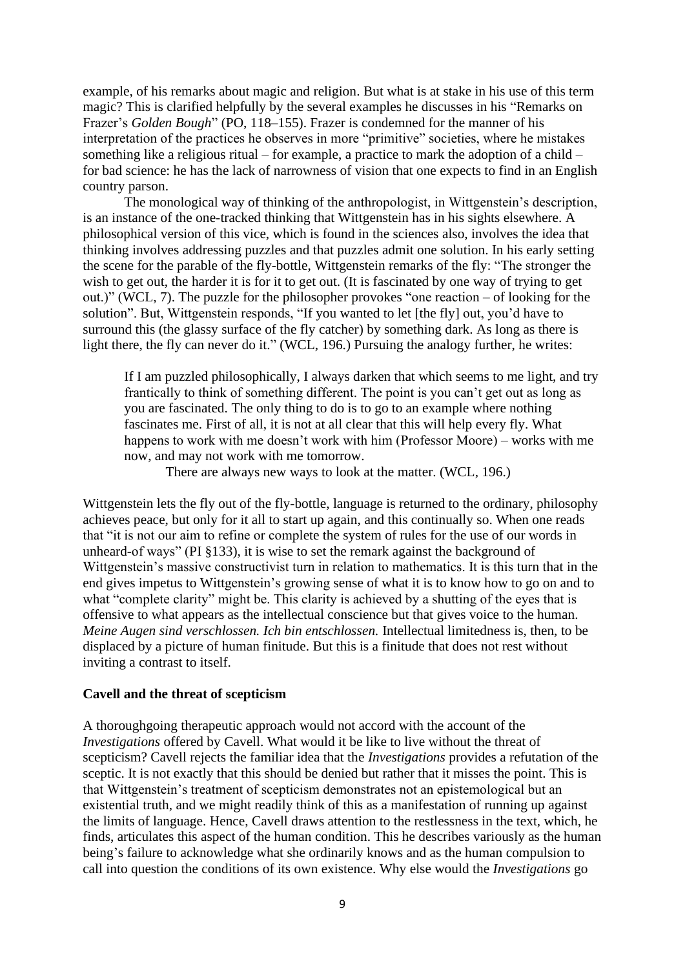example, of his remarks about magic and religion. But what is at stake in his use of this term magic? This is clarified helpfully by the several examples he discusses in his "Remarks on Frazer's *Golden Bough*" (PO, 118–155). Frazer is condemned for the manner of his interpretation of the practices he observes in more "primitive" societies, where he mistakes something like a religious ritual – for example, a practice to mark the adoption of a child – for bad science: he has the lack of narrowness of vision that one expects to find in an English country parson.

The monological way of thinking of the anthropologist, in Wittgenstein's description, is an instance of the one-tracked thinking that Wittgenstein has in his sights elsewhere. A philosophical version of this vice, which is found in the sciences also, involves the idea that thinking involves addressing puzzles and that puzzles admit one solution. In his early setting the scene for the parable of the fly-bottle, Wittgenstein remarks of the fly: "The stronger the wish to get out, the harder it is for it to get out. (It is fascinated by one way of trying to get out.)" (WCL, 7). The puzzle for the philosopher provokes "one reaction – of looking for the solution". But, Wittgenstein responds, "If you wanted to let [the fly] out, you'd have to surround this (the glassy surface of the fly catcher) by something dark. As long as there is light there, the fly can never do it." (WCL, 196.) Pursuing the analogy further, he writes:

If I am puzzled philosophically, I always darken that which seems to me light, and try frantically to think of something different. The point is you can't get out as long as you are fascinated. The only thing to do is to go to an example where nothing fascinates me. First of all, it is not at all clear that this will help every fly. What happens to work with me doesn't work with him (Professor Moore) – works with me now, and may not work with me tomorrow.

There are always new ways to look at the matter. (WCL, 196.)

Wittgenstein lets the fly out of the fly-bottle, language is returned to the ordinary, philosophy achieves peace, but only for it all to start up again, and this continually so. When one reads that "it is not our aim to refine or complete the system of rules for the use of our words in unheard-of ways" (PI §133), it is wise to set the remark against the background of Wittgenstein's massive constructivist turn in relation to mathematics. It is this turn that in the end gives impetus to Wittgenstein's growing sense of what it is to know how to go on and to what "complete clarity" might be. This clarity is achieved by a shutting of the eyes that is offensive to what appears as the intellectual conscience but that gives voice to the human. *Meine Augen sind verschlossen. Ich bin entschlossen.* Intellectual limitedness is, then, to be displaced by a picture of human finitude. But this is a finitude that does not rest without inviting a contrast to itself.

### **Cavell and the threat of scepticism**

A thoroughgoing therapeutic approach would not accord with the account of the *Investigations* offered by Cavell. What would it be like to live without the threat of scepticism? Cavell rejects the familiar idea that the *Investigations* provides a refutation of the sceptic. It is not exactly that this should be denied but rather that it misses the point. This is that Wittgenstein's treatment of scepticism demonstrates not an epistemological but an existential truth, and we might readily think of this as a manifestation of running up against the limits of language. Hence, Cavell draws attention to the restlessness in the text, which, he finds, articulates this aspect of the human condition. This he describes variously as the human being's failure to acknowledge what she ordinarily knows and as the human compulsion to call into question the conditions of its own existence. Why else would the *Investigations* go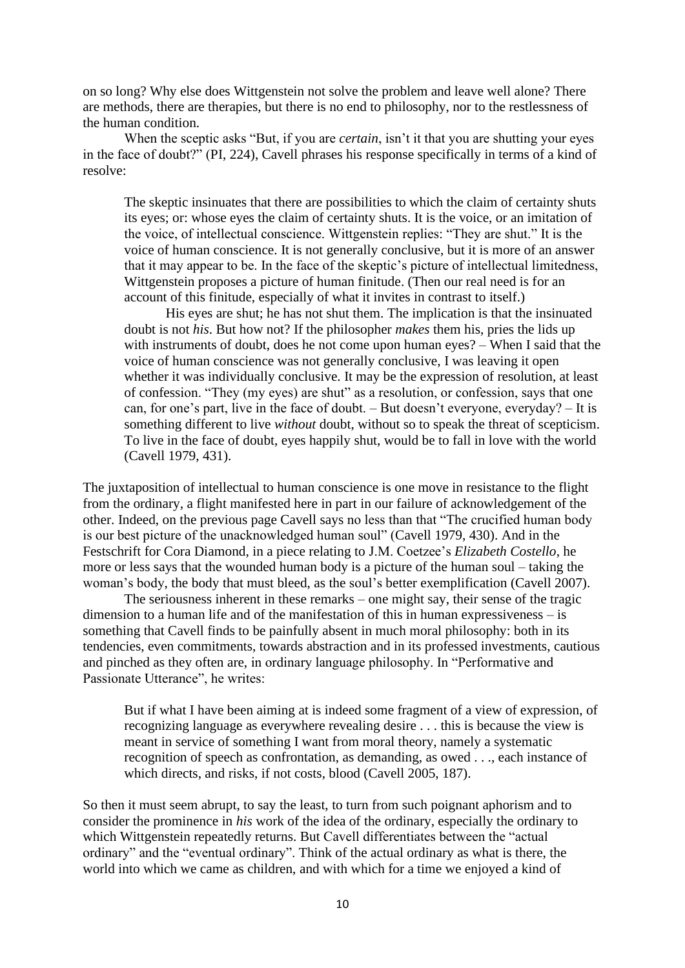on so long? Why else does Wittgenstein not solve the problem and leave well alone? There are methods, there are therapies, but there is no end to philosophy, nor to the restlessness of the human condition.

When the sceptic asks "But, if you are *certain*, isn't it that you are shutting your eyes in the face of doubt?" (PI, 224), Cavell phrases his response specifically in terms of a kind of resolve:

The skeptic insinuates that there are possibilities to which the claim of certainty shuts its eyes; or: whose eyes the claim of certainty shuts. It is the voice, or an imitation of the voice, of intellectual conscience. Wittgenstein replies: "They are shut." It is the voice of human conscience. It is not generally conclusive, but it is more of an answer that it may appear to be. In the face of the skeptic's picture of intellectual limitedness, Wittgenstein proposes a picture of human finitude. (Then our real need is for an account of this finitude, especially of what it invites in contrast to itself.)

His eyes are shut; he has not shut them. The implication is that the insinuated doubt is not *his*. But how not? If the philosopher *makes* them his, pries the lids up with instruments of doubt, does he not come upon human eyes? – When I said that the voice of human conscience was not generally conclusive, I was leaving it open whether it was individually conclusive. It may be the expression of resolution, at least of confession. "They (my eyes) are shut" as a resolution, or confession, says that one can, for one's part, live in the face of doubt. – But doesn't everyone, everyday? – It is something different to live *without* doubt, without so to speak the threat of scepticism. To live in the face of doubt, eyes happily shut, would be to fall in love with the world (Cavell 1979, 431).

The juxtaposition of intellectual to human conscience is one move in resistance to the flight from the ordinary, a flight manifested here in part in our failure of acknowledgement of the other. Indeed, on the previous page Cavell says no less than that "The crucified human body is our best picture of the unacknowledged human soul" (Cavell 1979, 430). And in the Festschrift for Cora Diamond, in a piece relating to J.M. Coetzee's *Elizabeth Costello*, he more or less says that the wounded human body is a picture of the human soul – taking the woman's body, the body that must bleed, as the soul's better exemplification (Cavell 2007).

The seriousness inherent in these remarks – one might say, their sense of the tragic dimension to a human life and of the manifestation of this in human expressiveness – is something that Cavell finds to be painfully absent in much moral philosophy: both in its tendencies, even commitments, towards abstraction and in its professed investments, cautious and pinched as they often are, in ordinary language philosophy. In "Performative and Passionate Utterance", he writes:

But if what I have been aiming at is indeed some fragment of a view of expression, of recognizing language as everywhere revealing desire . . . this is because the view is meant in service of something I want from moral theory, namely a systematic recognition of speech as confrontation, as demanding, as owed . . ., each instance of which directs, and risks, if not costs, blood (Cavell 2005, 187).

So then it must seem abrupt, to say the least, to turn from such poignant aphorism and to consider the prominence in *his* work of the idea of the ordinary, especially the ordinary to which Wittgenstein repeatedly returns. But Cavell differentiates between the "actual ordinary" and the "eventual ordinary". Think of the actual ordinary as what is there, the world into which we came as children, and with which for a time we enjoyed a kind of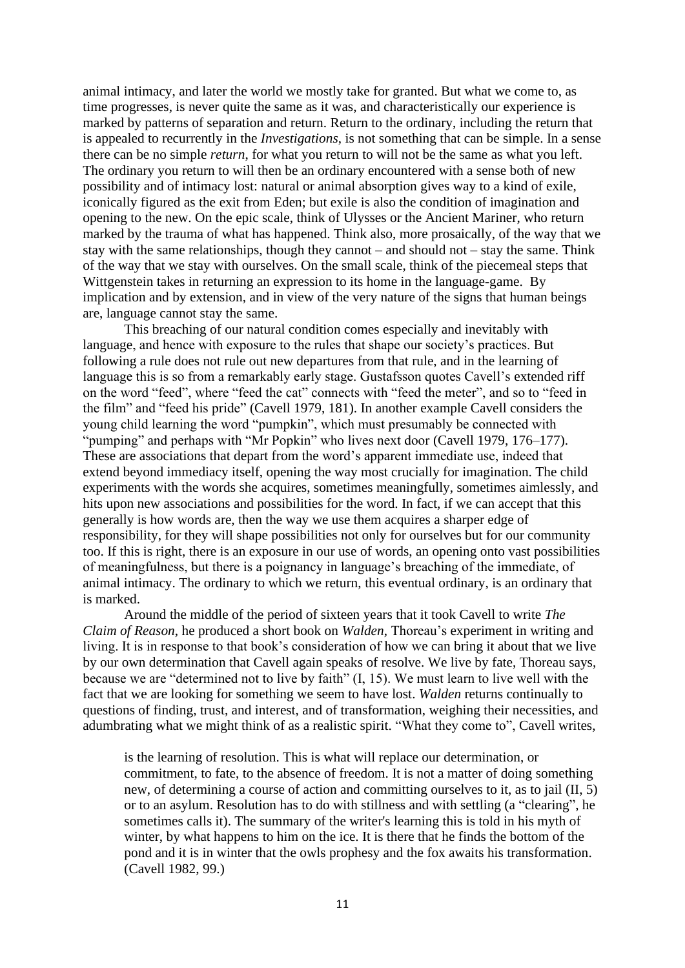animal intimacy, and later the world we mostly take for granted. But what we come to, as time progresses, is never quite the same as it was, and characteristically our experience is marked by patterns of separation and return. Return to the ordinary, including the return that is appealed to recurrently in the *Investigations*, is not something that can be simple. In a sense there can be no simple *return*, for what you return to will not be the same as what you left. The ordinary you return to will then be an ordinary encountered with a sense both of new possibility and of intimacy lost: natural or animal absorption gives way to a kind of exile, iconically figured as the exit from Eden; but exile is also the condition of imagination and opening to the new. On the epic scale, think of Ulysses or the Ancient Mariner, who return marked by the trauma of what has happened. Think also, more prosaically, of the way that we stay with the same relationships, though they cannot – and should not – stay the same. Think of the way that we stay with ourselves. On the small scale, think of the piecemeal steps that Wittgenstein takes in returning an expression to its home in the language-game. By implication and by extension, and in view of the very nature of the signs that human beings are, language cannot stay the same.

This breaching of our natural condition comes especially and inevitably with language, and hence with exposure to the rules that shape our society's practices. But following a rule does not rule out new departures from that rule, and in the learning of language this is so from a remarkably early stage. Gustafsson quotes Cavell's extended riff on the word "feed", where "feed the cat" connects with "feed the meter", and so to "feed in the film" and "feed his pride" (Cavell 1979, 181). In another example Cavell considers the young child learning the word "pumpkin", which must presumably be connected with "pumping" and perhaps with "Mr Popkin" who lives next door (Cavell 1979, 176–177). These are associations that depart from the word's apparent immediate use, indeed that extend beyond immediacy itself, opening the way most crucially for imagination. The child experiments with the words she acquires, sometimes meaningfully, sometimes aimlessly, and hits upon new associations and possibilities for the word. In fact, if we can accept that this generally is how words are, then the way we use them acquires a sharper edge of responsibility, for they will shape possibilities not only for ourselves but for our community too. If this is right, there is an exposure in our use of words, an opening onto vast possibilities of meaningfulness, but there is a poignancy in language's breaching of the immediate, of animal intimacy. The ordinary to which we return, this eventual ordinary, is an ordinary that is marked.

Around the middle of the period of sixteen years that it took Cavell to write *The Claim of Reason*, he produced a short book on *Walden*, Thoreau's experiment in writing and living. It is in response to that book's consideration of how we can bring it about that we live by our own determination that Cavell again speaks of resolve. We live by fate, Thoreau says, because we are "determined not to live by faith" (I, 15). We must learn to live well with the fact that we are looking for something we seem to have lost. *Walden* returns continually to questions of finding, trust, and interest, and of transformation, weighing their necessities, and adumbrating what we might think of as a realistic spirit. "What they come to", Cavell writes,

is the learning of resolution. This is what will replace our determination, or commitment, to fate, to the absence of freedom. It is not a matter of doing something new, of determining a course of action and committing ourselves to it, as to jail (II, 5) or to an asylum. Resolution has to do with stillness and with settling (a "clearing", he sometimes calls it). The summary of the writer's learning this is told in his myth of winter, by what happens to him on the ice. It is there that he finds the bottom of the pond and it is in winter that the owls prophesy and the fox awaits his transformation. (Cavell 1982, 99.)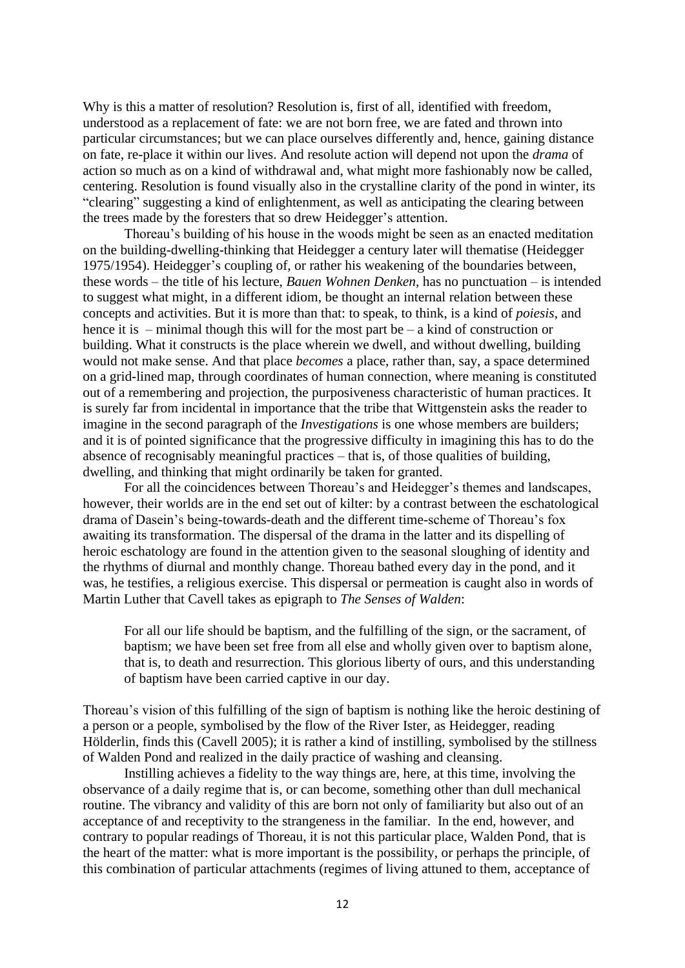Why is this a matter of resolution? Resolution is, first of all, identified with freedom, understood as a replacement of fate: we are not born free, we are fated and thrown into particular circumstances; but we can place ourselves differently and, hence, gaining distance on fate, re-place it within our lives. And resolute action will depend not upon the *drama* of action so much as on a kind of withdrawal and, what might more fashionably now be called, centering. Resolution is found visually also in the crystalline clarity of the pond in winter, its "clearing" suggesting a kind of enlightenment, as well as anticipating the clearing between the trees made by the foresters that so drew Heidegger's attention.

Thoreau's building of his house in the woods might be seen as an enacted meditation on the building-dwelling-thinking that Heidegger a century later will thematise (Heidegger 1975/1954). Heidegger's coupling of, or rather his weakening of the boundaries between, these words – the title of his lecture, *Bauen Wohnen Denken*, has no punctuation – is intended to suggest what might, in a different idiom, be thought an internal relation between these concepts and activities. But it is more than that: to speak, to think, is a kind of *poiesis*, and hence it is – minimal though this will for the most part be – a kind of construction or building. What it constructs is the place wherein we dwell, and without dwelling, building would not make sense. And that place *becomes* a place, rather than, say, a space determined on a grid-lined map, through coordinates of human connection, where meaning is constituted out of a remembering and projection, the purposiveness characteristic of human practices. It is surely far from incidental in importance that the tribe that Wittgenstein asks the reader to imagine in the second paragraph of the *Investigations* is one whose members are builders; and it is of pointed significance that the progressive difficulty in imagining this has to do the absence of recognisably meaningful practices – that is, of those qualities of building, dwelling, and thinking that might ordinarily be taken for granted.

For all the coincidences between Thoreau's and Heidegger's themes and landscapes, however, their worlds are in the end set out of kilter: by a contrast between the eschatological drama of Dasein's being-towards-death and the different time-scheme of Thoreau's fox awaiting its transformation. The dispersal of the drama in the latter and its dispelling of heroic eschatology are found in the attention given to the seasonal sloughing of identity and the rhythms of diurnal and monthly change. Thoreau bathed every day in the pond, and it was, he testifies, a religious exercise. This dispersal or permeation is caught also in words of Martin Luther that Cavell takes as epigraph to *The Senses of Walden*:

For all our life should be baptism, and the fulfilling of the sign, or the sacrament, of baptism; we have been set free from all else and wholly given over to baptism alone, that is, to death and resurrection. This glorious liberty of ours, and this understanding of baptism have been carried captive in our day.

Thoreau's vision of this fulfilling of the sign of baptism is nothing like the heroic destining of a person or a people, symbolised by the flow of the River Ister, as Heidegger, reading Hölderlin, finds this (Cavell 2005); it is rather a kind of instilling, symbolised by the stillness of Walden Pond and realized in the daily practice of washing and cleansing.

Instilling achieves a fidelity to the way things are, here, at this time, involving the observance of a daily regime that is, or can become, something other than dull mechanical routine. The vibrancy and validity of this are born not only of familiarity but also out of an acceptance of and receptivity to the strangeness in the familiar. In the end, however, and contrary to popular readings of Thoreau, it is not this particular place, Walden Pond, that is the heart of the matter: what is more important is the possibility, or perhaps the principle, of this combination of particular attachments (regimes of living attuned to them, acceptance of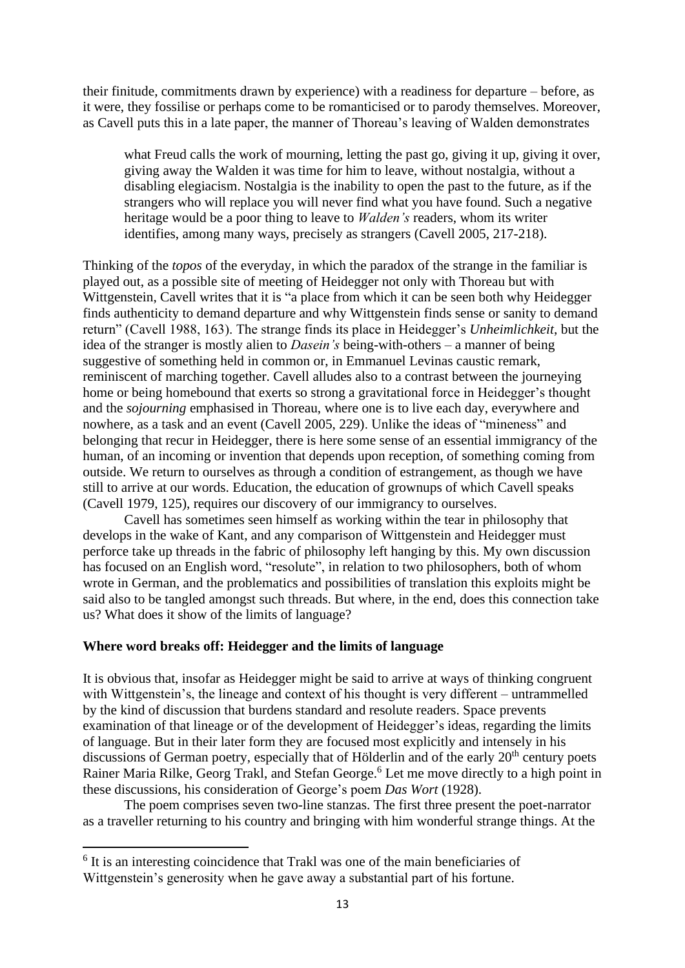their finitude, commitments drawn by experience) with a readiness for departure – before, as it were, they fossilise or perhaps come to be romanticised or to parody themselves. Moreover, as Cavell puts this in a late paper, the manner of Thoreau's leaving of Walden demonstrates

what Freud calls the work of mourning, letting the past go, giving it up, giving it over, giving away the Walden it was time for him to leave, without nostalgia, without a disabling elegiacism. Nostalgia is the inability to open the past to the future, as if the strangers who will replace you will never find what you have found. Such a negative heritage would be a poor thing to leave to *Walden's* readers, whom its writer identifies, among many ways, precisely as strangers (Cavell 2005, 217-218).

Thinking of the *topos* of the everyday, in which the paradox of the strange in the familiar is played out, as a possible site of meeting of Heidegger not only with Thoreau but with Wittgenstein, Cavell writes that it is "a place from which it can be seen both why Heidegger finds authenticity to demand departure and why Wittgenstein finds sense or sanity to demand return" (Cavell 1988, 163). The strange finds its place in Heidegger's *Unheimlichkeit*, but the idea of the stranger is mostly alien to *Dasein's* being-with-others – a manner of being suggestive of something held in common or, in Emmanuel Levinas caustic remark, reminiscent of marching together. Cavell alludes also to a contrast between the journeying home or being homebound that exerts so strong a gravitational force in Heidegger's thought and the *sojourning* emphasised in Thoreau, where one is to live each day, everywhere and nowhere, as a task and an event (Cavell 2005, 229). Unlike the ideas of "mineness" and belonging that recur in Heidegger, there is here some sense of an essential immigrancy of the human, of an incoming or invention that depends upon reception, of something coming from outside. We return to ourselves as through a condition of estrangement, as though we have still to arrive at our words. Education, the education of grownups of which Cavell speaks (Cavell 1979, 125), requires our discovery of our immigrancy to ourselves.

Cavell has sometimes seen himself as working within the tear in philosophy that develops in the wake of Kant, and any comparison of Wittgenstein and Heidegger must perforce take up threads in the fabric of philosophy left hanging by this. My own discussion has focused on an English word, "resolute", in relation to two philosophers, both of whom wrote in German, and the problematics and possibilities of translation this exploits might be said also to be tangled amongst such threads. But where, in the end, does this connection take us? What does it show of the limits of language?

### **Where word breaks off: Heidegger and the limits of language**

It is obvious that, insofar as Heidegger might be said to arrive at ways of thinking congruent with Wittgenstein's, the lineage and context of his thought is very different – untrammelled by the kind of discussion that burdens standard and resolute readers. Space prevents examination of that lineage or of the development of Heidegger's ideas, regarding the limits of language. But in their later form they are focused most explicitly and intensely in his discussions of German poetry, especially that of Hölderlin and of the early  $20<sup>th</sup>$  century poets Rainer Maria Rilke, Georg Trakl, and Stefan George.<sup>6</sup> Let me move directly to a high point in these discussions, his consideration of George's poem *Das Wort* (1928).

The poem comprises seven two-line stanzas. The first three present the poet-narrator as a traveller returning to his country and bringing with him wonderful strange things. At the

<sup>&</sup>lt;sup>6</sup> It is an interesting coincidence that Trakl was one of the main beneficiaries of Wittgenstein's generosity when he gave away a substantial part of his fortune.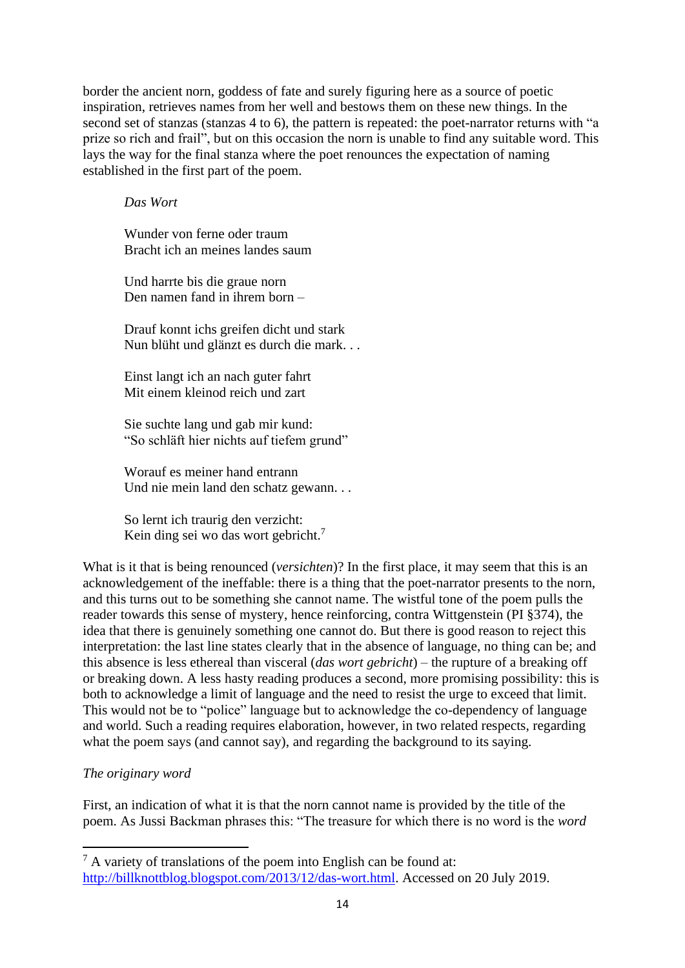border the ancient norn, goddess of fate and surely figuring here as a source of poetic inspiration, retrieves names from her well and bestows them on these new things. In the second set of stanzas (stanzas 4 to 6), the pattern is repeated: the poet-narrator returns with "a prize so rich and frail", but on this occasion the norn is unable to find any suitable word. This lays the way for the final stanza where the poet renounces the expectation of naming established in the first part of the poem.

# *Das Wort*

Wunder von ferne oder traum Bracht ich an meines landes saum

Und harrte bis die graue norn Den namen fand in ihrem born –

Drauf konnt ichs greifen dicht und stark Nun blüht und glänzt es durch die mark. . .

Einst langt ich an nach guter fahrt Mit einem kleinod reich und zart

Sie suchte lang und gab mir kund: "So schläft hier nichts auf tiefem grund"

Worauf es meiner hand entrann Und nie mein land den schatz gewann. . .

So lernt ich traurig den verzicht: Kein ding sei wo das wort gebricht.<sup>7</sup>

What is it that is being renounced (*versichten*)? In the first place, it may seem that this is an acknowledgement of the ineffable: there is a thing that the poet-narrator presents to the norn, and this turns out to be something she cannot name. The wistful tone of the poem pulls the reader towards this sense of mystery, hence reinforcing, contra Wittgenstein (PI §374), the idea that there is genuinely something one cannot do. But there is good reason to reject this interpretation: the last line states clearly that in the absence of language, no thing can be; and this absence is less ethereal than visceral (*das wort gebricht*) – the rupture of a breaking off or breaking down. A less hasty reading produces a second, more promising possibility: this is both to acknowledge a limit of language and the need to resist the urge to exceed that limit. This would not be to "police" language but to acknowledge the co-dependency of language and world. Such a reading requires elaboration, however, in two related respects, regarding what the poem says (and cannot say), and regarding the background to its saying.

# *The originary word*

First, an indication of what it is that the norn cannot name is provided by the title of the poem. As Jussi Backman phrases this: "The treasure for which there is no word is the *word* 

<sup>7</sup> A variety of translations of the poem into English can be found at: [http://billknottblog.blogspot.com/2013/12/das-wort.html.](http://billknottblog.blogspot.com/2013/12/das-wort.html) Accessed on 20 July 2019.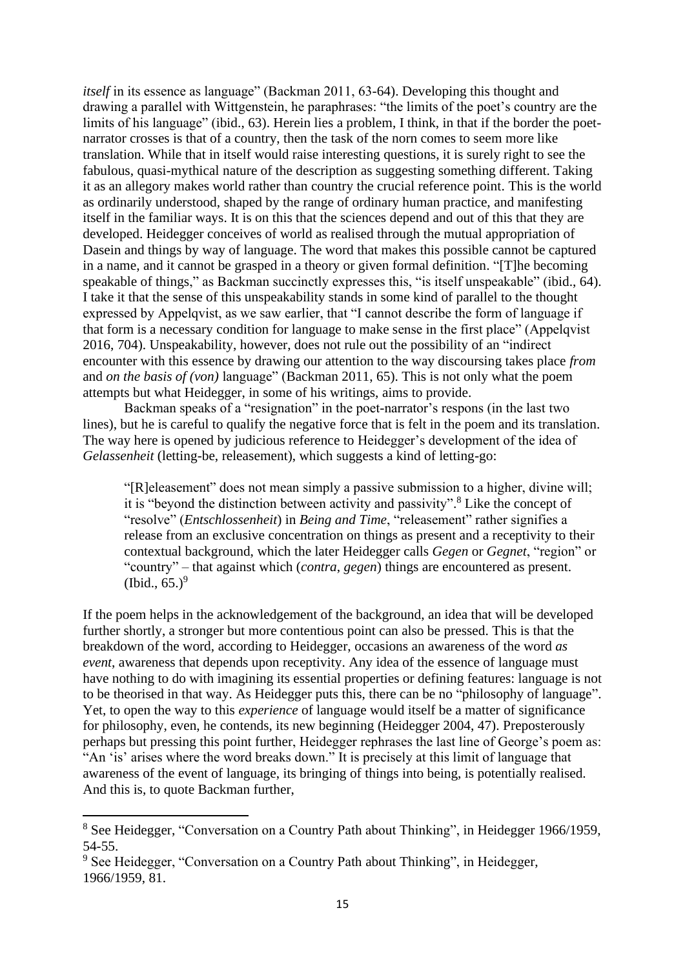*itself* in its essence as language" (Backman 2011, 63-64). Developing this thought and drawing a parallel with Wittgenstein, he paraphrases: "the limits of the poet's country are the limits of his language" (ibid., 63). Herein lies a problem, I think, in that if the border the poetnarrator crosses is that of a country, then the task of the norn comes to seem more like translation. While that in itself would raise interesting questions, it is surely right to see the fabulous, quasi-mythical nature of the description as suggesting something different. Taking it as an allegory makes world rather than country the crucial reference point. This is the world as ordinarily understood, shaped by the range of ordinary human practice, and manifesting itself in the familiar ways. It is on this that the sciences depend and out of this that they are developed. Heidegger conceives of world as realised through the mutual appropriation of Dasein and things by way of language. The word that makes this possible cannot be captured in a name, and it cannot be grasped in a theory or given formal definition. "[T]he becoming speakable of things," as Backman succinctly expresses this, "is itself unspeakable" (ibid., 64). I take it that the sense of this unspeakability stands in some kind of parallel to the thought expressed by Appelqvist, as we saw earlier, that "I cannot describe the form of language if that form is a necessary condition for language to make sense in the first place" (Appelqvist 2016, 704). Unspeakability, however, does not rule out the possibility of an "indirect encounter with this essence by drawing our attention to the way discoursing takes place *from* and *on the basis of (von)* language" (Backman 2011, 65). This is not only what the poem attempts but what Heidegger, in some of his writings, aims to provide.

Backman speaks of a "resignation" in the poet-narrator's respons (in the last two lines), but he is careful to qualify the negative force that is felt in the poem and its translation. The way here is opened by judicious reference to Heidegger's development of the idea of *Gelassenheit* (letting-be, releasement), which suggests a kind of letting-go:

"[R]eleasement" does not mean simply a passive submission to a higher, divine will; it is "beyond the distinction between activity and passivity". <sup>8</sup> Like the concept of "resolve" (*Entschlossenheit*) in *Being and Time*, "releasement" rather signifies a release from an exclusive concentration on things as present and a receptivity to their contextual background, which the later Heidegger calls *Gegen* or *Gegnet*, "region" or "country" – that against which (*contra*, *gegen*) things are encountered as present.  $(Ibid., 65.)<sup>9</sup>$ 

If the poem helps in the acknowledgement of the background, an idea that will be developed further shortly, a stronger but more contentious point can also be pressed. This is that the breakdown of the word, according to Heidegger, occasions an awareness of the word *as event*, awareness that depends upon receptivity. Any idea of the essence of language must have nothing to do with imagining its essential properties or defining features: language is not to be theorised in that way. As Heidegger puts this, there can be no "philosophy of language". Yet, to open the way to this *experience* of language would itself be a matter of significance for philosophy, even, he contends, its new beginning (Heidegger 2004, 47). Preposterously perhaps but pressing this point further, Heidegger rephrases the last line of George's poem as: "An 'is' arises where the word breaks down." It is precisely at this limit of language that awareness of the event of language, its bringing of things into being, is potentially realised. And this is, to quote Backman further,

<sup>8</sup> See Heidegger, "Conversation on a Country Path about Thinking", in Heidegger 1966/1959, 54-55.

<sup>&</sup>lt;sup>9</sup> See Heidegger, "Conversation on a Country Path about Thinking", in Heidegger, 1966/1959, 81.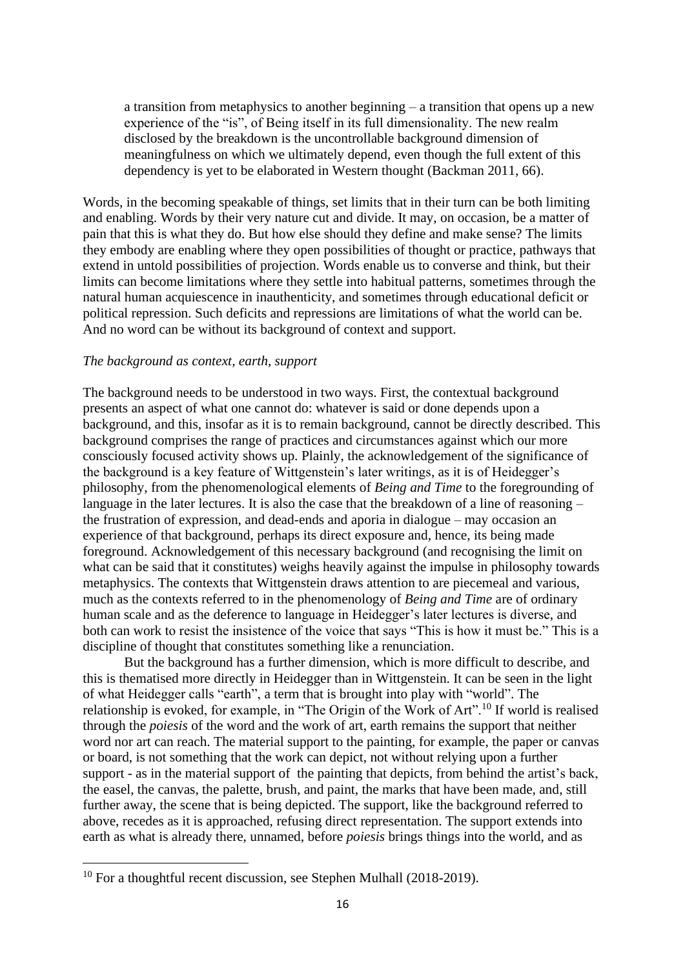a transition from metaphysics to another beginning – a transition that opens up a new experience of the "is", of Being itself in its full dimensionality. The new realm disclosed by the breakdown is the uncontrollable background dimension of meaningfulness on which we ultimately depend, even though the full extent of this dependency is yet to be elaborated in Western thought (Backman 2011, 66).

Words, in the becoming speakable of things, set limits that in their turn can be both limiting and enabling. Words by their very nature cut and divide. It may, on occasion, be a matter of pain that this is what they do. But how else should they define and make sense? The limits they embody are enabling where they open possibilities of thought or practice, pathways that extend in untold possibilities of projection. Words enable us to converse and think, but their limits can become limitations where they settle into habitual patterns, sometimes through the natural human acquiescence in inauthenticity, and sometimes through educational deficit or political repression. Such deficits and repressions are limitations of what the world can be. And no word can be without its background of context and support.

### *The background as context, earth, support*

The background needs to be understood in two ways. First, the contextual background presents an aspect of what one cannot do: whatever is said or done depends upon a background, and this, insofar as it is to remain background, cannot be directly described. This background comprises the range of practices and circumstances against which our more consciously focused activity shows up. Plainly, the acknowledgement of the significance of the background is a key feature of Wittgenstein's later writings, as it is of Heidegger's philosophy, from the phenomenological elements of *Being and Time* to the foregrounding of language in the later lectures. It is also the case that the breakdown of a line of reasoning – the frustration of expression, and dead-ends and aporia in dialogue – may occasion an experience of that background, perhaps its direct exposure and, hence, its being made foreground. Acknowledgement of this necessary background (and recognising the limit on what can be said that it constitutes) weighs heavily against the impulse in philosophy towards metaphysics. The contexts that Wittgenstein draws attention to are piecemeal and various, much as the contexts referred to in the phenomenology of *Being and Time* are of ordinary human scale and as the deference to language in Heidegger's later lectures is diverse, and both can work to resist the insistence of the voice that says "This is how it must be." This is a discipline of thought that constitutes something like a renunciation.

But the background has a further dimension, which is more difficult to describe, and this is thematised more directly in Heidegger than in Wittgenstein. It can be seen in the light of what Heidegger calls "earth", a term that is brought into play with "world". The relationship is evoked, for example, in "The Origin of the Work of Art".<sup>10</sup> If world is realised through the *poiesis* of the word and the work of art, earth remains the support that neither word nor art can reach. The material support to the painting, for example, the paper or canvas or board, is not something that the work can depict, not without relying upon a further support - as in the material support of the painting that depicts, from behind the artist's back, the easel, the canvas, the palette, brush, and paint, the marks that have been made, and, still further away, the scene that is being depicted. The support, like the background referred to above, recedes as it is approached, refusing direct representation. The support extends into earth as what is already there, unnamed, before *poiesis* brings things into the world, and as

<sup>&</sup>lt;sup>10</sup> For a thoughtful recent discussion, see Stephen Mulhall (2018-2019).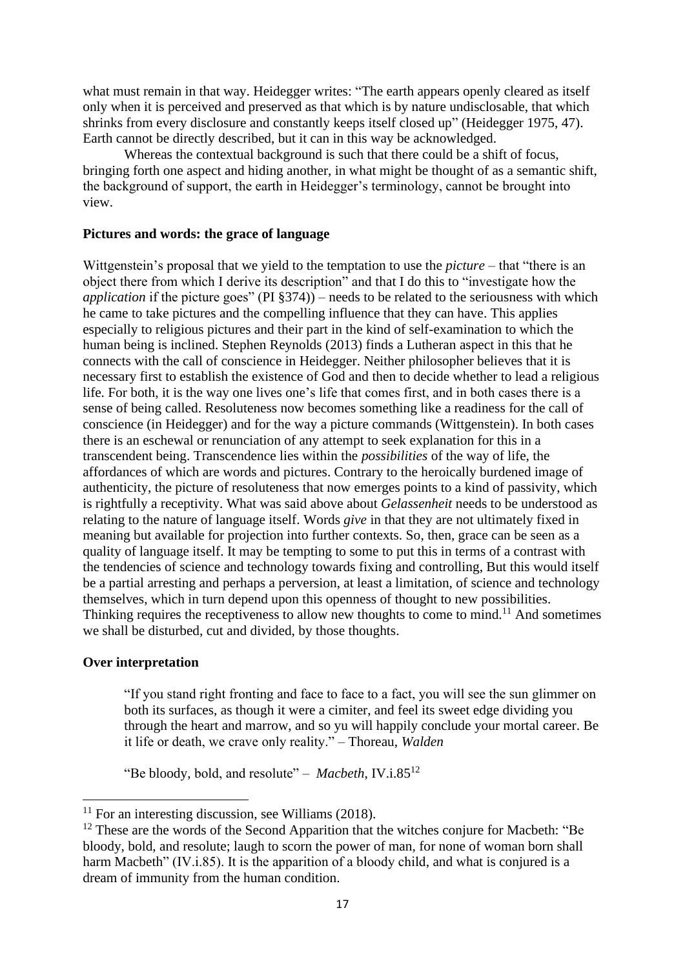what must remain in that way. Heidegger writes: "The earth appears openly cleared as itself only when it is perceived and preserved as that which is by nature undisclosable, that which shrinks from every disclosure and constantly keeps itself closed up" (Heidegger 1975, 47). Earth cannot be directly described, but it can in this way be acknowledged.

Whereas the contextual background is such that there could be a shift of focus, bringing forth one aspect and hiding another, in what might be thought of as a semantic shift, the background of support, the earth in Heidegger's terminology, cannot be brought into view.

### **Pictures and words: the grace of language**

Wittgenstein's proposal that we yield to the temptation to use the *picture* – that "there is an object there from which I derive its description" and that I do this to "investigate how the *application* if the picture goes" (PI §374)) – needs to be related to the seriousness with which he came to take pictures and the compelling influence that they can have. This applies especially to religious pictures and their part in the kind of self-examination to which the human being is inclined. Stephen Reynolds (2013) finds a Lutheran aspect in this that he connects with the call of conscience in Heidegger. Neither philosopher believes that it is necessary first to establish the existence of God and then to decide whether to lead a religious life. For both, it is the way one lives one's life that comes first, and in both cases there is a sense of being called. Resoluteness now becomes something like a readiness for the call of conscience (in Heidegger) and for the way a picture commands (Wittgenstein). In both cases there is an eschewal or renunciation of any attempt to seek explanation for this in a transcendent being. Transcendence lies within the *possibilities* of the way of life, the affordances of which are words and pictures. Contrary to the heroically burdened image of authenticity, the picture of resoluteness that now emerges points to a kind of passivity, which is rightfully a receptivity. What was said above about *Gelassenheit* needs to be understood as relating to the nature of language itself. Words *give* in that they are not ultimately fixed in meaning but available for projection into further contexts. So, then, grace can be seen as a quality of language itself. It may be tempting to some to put this in terms of a contrast with the tendencies of science and technology towards fixing and controlling, But this would itself be a partial arresting and perhaps a perversion, at least a limitation, of science and technology themselves, which in turn depend upon this openness of thought to new possibilities. Thinking requires the receptiveness to allow new thoughts to come to mind.<sup>11</sup> And sometimes we shall be disturbed, cut and divided, by those thoughts.

## **Over interpretation**

"If you stand right fronting and face to face to a fact, you will see the sun glimmer on both its surfaces, as though it were a cimiter, and feel its sweet edge dividing you through the heart and marrow, and so yu will happily conclude your mortal career. Be it life or death, we crave only reality." – Thoreau, *Walden*

"Be bloody, bold, and resolute" – *Macbeth*, IV.i.85<sup>12</sup>

 $11$  For an interesting discussion, see Williams (2018).

 $12$  These are the words of the Second Apparition that the witches conjure for Macbeth: "Be bloody, bold, and resolute; laugh to scorn the power of man, for none of woman born shall harm Macbeth" (IV.i.85). It is the apparition of a bloody child, and what is conjured is a dream of immunity from the human condition.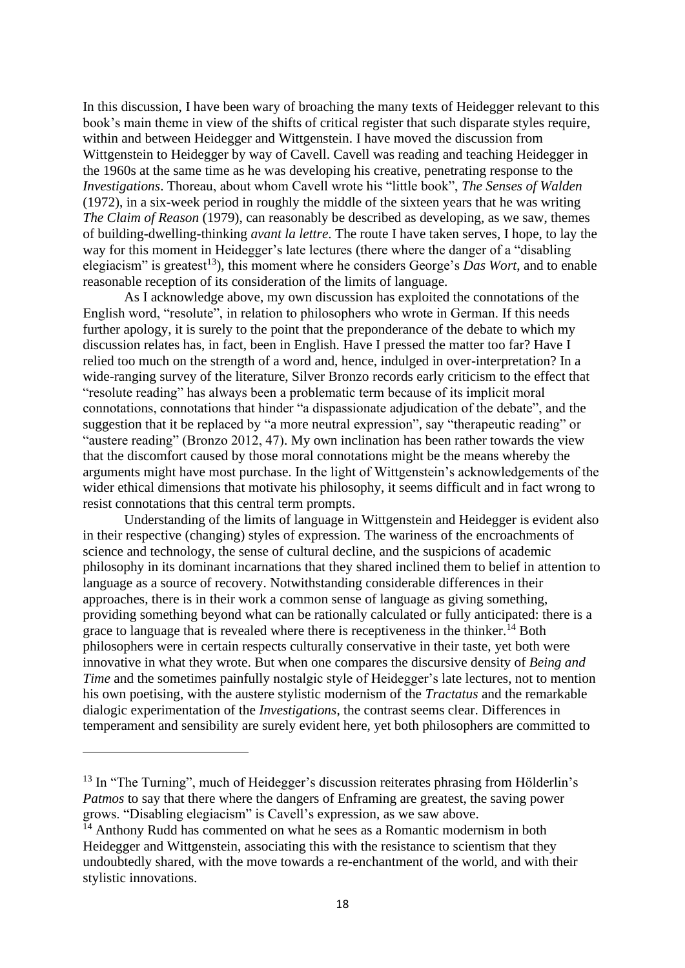In this discussion, I have been wary of broaching the many texts of Heidegger relevant to this book's main theme in view of the shifts of critical register that such disparate styles require, within and between Heidegger and Wittgenstein. I have moved the discussion from Wittgenstein to Heidegger by way of Cavell. Cavell was reading and teaching Heidegger in the 1960s at the same time as he was developing his creative, penetrating response to the *Investigations*. Thoreau, about whom Cavell wrote his "little book", *The Senses of Walden* (1972), in a six-week period in roughly the middle of the sixteen years that he was writing *The Claim of Reason* (1979), can reasonably be described as developing, as we saw, themes of building-dwelling-thinking *avant la lettre*. The route I have taken serves, I hope, to lay the way for this moment in Heidegger's late lectures (there where the danger of a "disabling elegiacism" is greatest<sup>13</sup>), this moment where he considers George's *Das Wort*, and to enable reasonable reception of its consideration of the limits of language.

As I acknowledge above, my own discussion has exploited the connotations of the English word, "resolute", in relation to philosophers who wrote in German. If this needs further apology, it is surely to the point that the preponderance of the debate to which my discussion relates has, in fact, been in English. Have I pressed the matter too far? Have I relied too much on the strength of a word and, hence, indulged in over-interpretation? In a wide-ranging survey of the literature, Silver Bronzo records early criticism to the effect that "resolute reading" has always been a problematic term because of its implicit moral connotations, connotations that hinder "a dispassionate adjudication of the debate", and the suggestion that it be replaced by "a more neutral expression", say "therapeutic reading" or "austere reading" (Bronzo 2012, 47). My own inclination has been rather towards the view that the discomfort caused by those moral connotations might be the means whereby the arguments might have most purchase. In the light of Wittgenstein's acknowledgements of the wider ethical dimensions that motivate his philosophy, it seems difficult and in fact wrong to resist connotations that this central term prompts.

Understanding of the limits of language in Wittgenstein and Heidegger is evident also in their respective (changing) styles of expression. The wariness of the encroachments of science and technology, the sense of cultural decline, and the suspicions of academic philosophy in its dominant incarnations that they shared inclined them to belief in attention to language as a source of recovery. Notwithstanding considerable differences in their approaches, there is in their work a common sense of language as giving something, providing something beyond what can be rationally calculated or fully anticipated: there is a grace to language that is revealed where there is receptiveness in the thinker.<sup>14</sup> Both philosophers were in certain respects culturally conservative in their taste, yet both were innovative in what they wrote. But when one compares the discursive density of *Being and Time* and the sometimes painfully nostalgic style of Heidegger's late lectures, not to mention his own poetising, with the austere stylistic modernism of the *Tractatus* and the remarkable dialogic experimentation of the *Investigations*, the contrast seems clear. Differences in temperament and sensibility are surely evident here, yet both philosophers are committed to

<sup>&</sup>lt;sup>13</sup> In "The Turning", much of Heidegger's discussion reiterates phrasing from Hölderlin's *Patmos* to say that there where the dangers of Enframing are greatest, the saving power grows. "Disabling elegiacism" is Cavell's expression, as we saw above.

 $14$  Anthony Rudd has commented on what he sees as a Romantic modernism in both Heidegger and Wittgenstein, associating this with the resistance to scientism that they undoubtedly shared, with the move towards a re-enchantment of the world, and with their stylistic innovations.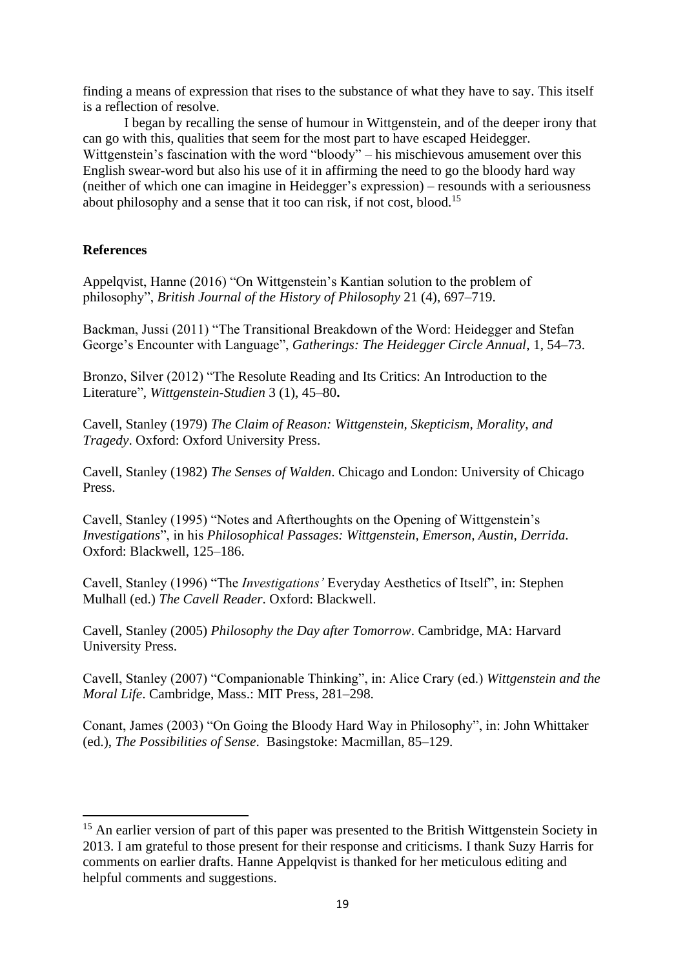finding a means of expression that rises to the substance of what they have to say. This itself is a reflection of resolve.

I began by recalling the sense of humour in Wittgenstein, and of the deeper irony that can go with this, qualities that seem for the most part to have escaped Heidegger. Wittgenstein's fascination with the word "bloody" – his mischievous amusement over this English swear-word but also his use of it in affirming the need to go the bloody hard way (neither of which one can imagine in Heidegger's expression) – resounds with a seriousness about philosophy and a sense that it too can risk, if not cost, blood.<sup>15</sup>

# **References**

Appelqvist, Hanne (2016) "On Wittgenstein's Kantian solution to the problem of philosophy", *British Journal of the History of Philosophy* 21 (4), 697–719.

Backman, Jussi (2011) "The Transitional Breakdown of the Word: Heidegger and Stefan George's Encounter with Language", *Gatherings: The Heidegger Circle Annual*, 1, 54–73.

Bronzo, Silver (2012) ["The Resolute Reading and Its Critics: An Introduction to the](https://philpapers.org/go.pl?id=BROTRR&proxyId=&u=http%3A%2F%2Fdx.doi.org%2F10.1515%2Fwgst.2012.45)  [Literature"](https://philpapers.org/go.pl?id=BROTRR&proxyId=&u=http%3A%2F%2Fdx.doi.org%2F10.1515%2Fwgst.2012.45), *[Wittgenstein-Studien](https://philpapers.org/asearch.pl?pub=4378)* 3 (1), 45–80**.**

Cavell, Stanley (1979) *The Claim of Reason: Wittgenstein, Skepticism, Morality, and Tragedy*. Oxford: Oxford University Press.

Cavell, Stanley (1982) *The Senses of Walden*. Chicago and London: University of Chicago Press.

Cavell, Stanley (1995) "Notes and Afterthoughts on the Opening of Wittgenstein's *Investigations*", in his *Philosophical Passages: Wittgenstein, Emerson, Austin, Derrida*. Oxford: Blackwell, 125–186.

Cavell, Stanley (1996) "The *Investigations'* Everyday Aesthetics of Itself", in: Stephen Mulhall (ed.) *The Cavell Reader*. Oxford: Blackwell.

Cavell, Stanley (2005) *Philosophy the Day after Tomorrow*. Cambridge, MA: Harvard University Press.

Cavell, Stanley (2007) "Companionable Thinking", in: Alice Crary (ed.) *Wittgenstein and the Moral Life*. Cambridge, Mass.: MIT Press, 281–298.

Conant, James (2003) "On Going the Bloody Hard Way in Philosophy", in: John Whittaker (ed.), *The Possibilities of Sense*. Basingstoke: Macmillan, 85–129.

<sup>&</sup>lt;sup>15</sup> An earlier version of part of this paper was presented to the British Wittgenstein Society in 2013. I am grateful to those present for their response and criticisms. I thank Suzy Harris for comments on earlier drafts. Hanne Appelqvist is thanked for her meticulous editing and helpful comments and suggestions.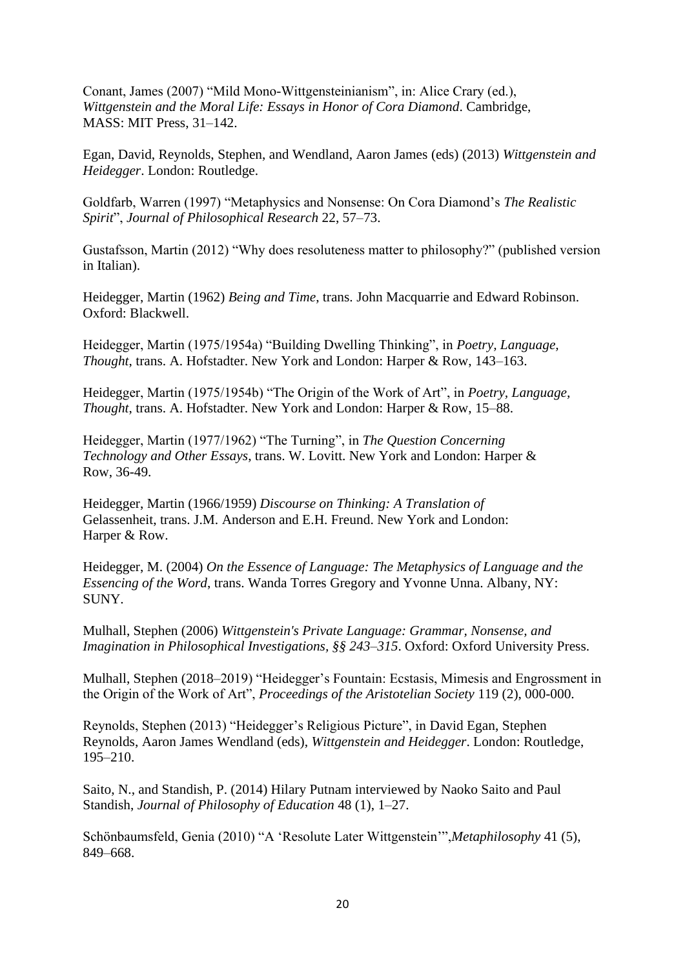Conant, James (2007) "Mild Mono-Wittgensteinianism", in: Alice Crary (ed.), *Wittgenstein and the Moral Life: Essays in Honor of Cora Diamond*. Cambridge, MASS: MIT Press, 31–142.

Egan, David, Reynolds, Stephen, and Wendland, Aaron James (eds) (2013) *Wittgenstein and Heidegger*. London: Routledge.

Goldfarb, Warren (1997) "Metaphysics and Nonsense: On Cora Diamond's *The Realistic Spirit*", *Journal of Philosophical Research* 22, 57–73.

Gustafsson, Martin (2012) "Why does resoluteness matter to philosophy?" (published version in Italian).

Heidegger, Martin (1962) *Being and Time*, trans. John Macquarrie and Edward Robinson. Oxford: Blackwell.

Heidegger, Martin (1975/1954a) "Building Dwelling Thinking", in *Poetry, Language, Thought*, trans. A. Hofstadter. New York and London: Harper & Row, 143–163.

Heidegger, Martin (1975/1954b) "The Origin of the Work of Art", in *Poetry, Language, Thought*, trans. A. Hofstadter. New York and London: Harper & Row, 15–88.

Heidegger, Martin (1977/1962) "The Turning", in *The Question Concerning Technology and Other Essays*, trans. W. Lovitt. New York and London: Harper & Row, 36-49.

Heidegger, Martin (1966/1959) *Discourse on Thinking: A Translation of*  Gelassenheit, trans. J.M. Anderson and E.H. Freund. New York and London: Harper & Row.

Heidegger, M. (2004) *On the Essence of Language: The Metaphysics of Language and the Essencing of the Word*, trans. Wanda Torres Gregory and Yvonne Unna. Albany, NY: SUNY.

Mulhall, Stephen (2006) *Wittgenstein's Private Language: Grammar, Nonsense, and Imagination in Philosophical Investigations, §§ 243–315*. Oxford: Oxford University Press.

Mulhall, Stephen (2018–2019) "Heidegger's Fountain: Ecstasis, Mimesis and Engrossment in the Origin of the Work of Art", *Proceedings of the Aristotelian Society* 119 (2), 000-000.

Reynolds, Stephen (2013) "Heidegger's Religious Picture", in David Egan, Stephen Reynolds, Aaron James Wendland (eds), *Wittgenstein and Heidegger*. London: Routledge, 195–210.

Saito, N., and Standish, P. (2014) Hilary Putnam interviewed by Naoko Saito and Paul Standish, *Journal of Philosophy of Education* 48 (1), 1–27.

Schönbaumsfeld, Genia (2010) "A 'Resolute Later Wittgenstein'",*Metaphilosophy* 41 (5), 849–668.